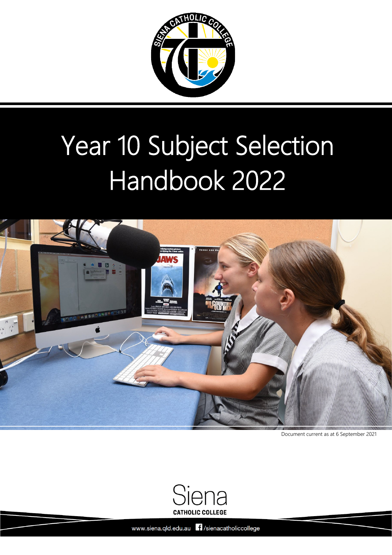

# Year 10 Subject Selection Handbook 2022



Document current as at 6 September 2021



Siena Catholic College [Back to Table of Contents](#page-1-0) 0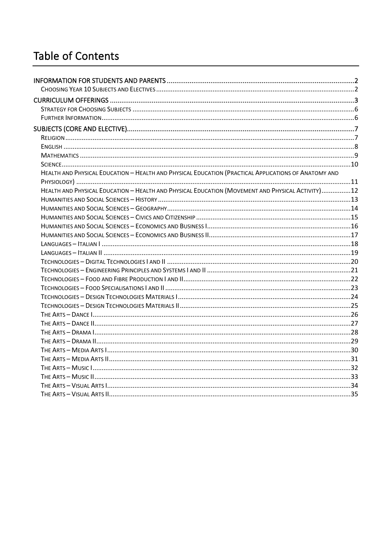## <span id="page-1-0"></span>**Table of Contents**

| HEALTH AND PHYSICAL EDUCATION - HEALTH AND PHYSICAL EDUCATION (PRACTICAL APPLICATIONS OF ANATOMY AND |  |
|------------------------------------------------------------------------------------------------------|--|
|                                                                                                      |  |
| HEALTH AND PHYSICAL EDUCATION - HEALTH AND PHYSICAL EDUCATION (MOVEMENT AND PHYSICAL ACTIVITY)12     |  |
|                                                                                                      |  |
|                                                                                                      |  |
|                                                                                                      |  |
|                                                                                                      |  |
|                                                                                                      |  |
|                                                                                                      |  |
|                                                                                                      |  |
|                                                                                                      |  |
|                                                                                                      |  |
|                                                                                                      |  |
|                                                                                                      |  |
|                                                                                                      |  |
|                                                                                                      |  |
|                                                                                                      |  |
|                                                                                                      |  |
|                                                                                                      |  |
|                                                                                                      |  |
|                                                                                                      |  |
|                                                                                                      |  |
|                                                                                                      |  |
|                                                                                                      |  |
|                                                                                                      |  |
|                                                                                                      |  |
|                                                                                                      |  |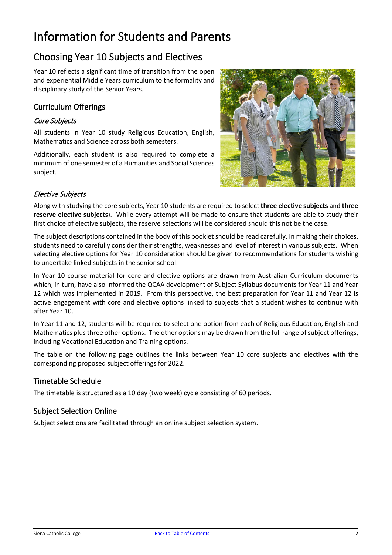# <span id="page-2-0"></span>Information for Students and Parents

## <span id="page-2-1"></span>Choosing Year 10 Subjects and Electives

Year 10 reflects a significant time of transition from the open and experiential Middle Years curriculum to the formality and disciplinary study of the Senior Years.

#### Curriculum Offerings

#### Core Subjects

All students in Year 10 study Religious Education, English, Mathematics and Science across both semesters.

Additionally, each student is also required to complete a minimum of one semester of a Humanities and Social Sciences subject.



#### Elective Subjects

Along with studying the core subjects, Year 10 students are required to select **three elective subjects** and **three reserve elective subjects**). While every attempt will be made to ensure that students are able to study their first choice of elective subjects, the reserve selections will be considered should this not be the case.

The subject descriptions contained in the body of this booklet should be read carefully. In making their choices, students need to carefully consider their strengths, weaknesses and level of interest in various subjects. When selecting elective options for Year 10 consideration should be given to recommendations for students wishing to undertake linked subjects in the senior school.

In Year 10 course material for core and elective options are drawn from Australian Curriculum documents which, in turn, have also informed the QCAA development of Subject Syllabus documents for Year 11 and Year 12 which was implemented in 2019. From this perspective, the best preparation for Year 11 and Year 12 is active engagement with core and elective options linked to subjects that a student wishes to continue with after Year 10.

In Year 11 and 12, students will be required to select one option from each of Religious Education, English and Mathematics plus three other options. The other options may be drawn from the full range of subject offerings, including Vocational Education and Training options.

The table on the following page outlines the links between Year 10 core subjects and electives with the corresponding proposed subject offerings for 2022.

#### Timetable Schedule

The timetable is structured as a 10 day (two week) cycle consisting of 60 periods.

#### Subject Selection Online

Subject selections are facilitated through an online subject selection system.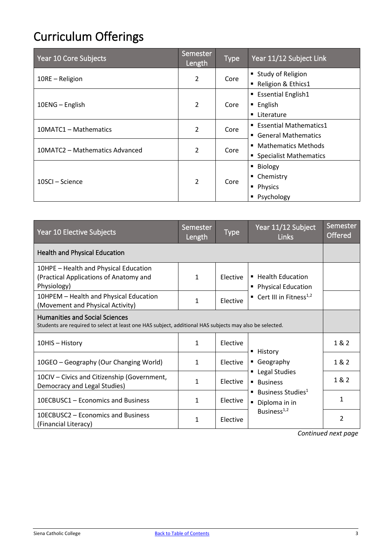# <span id="page-3-0"></span>Curriculum Offerings

| Year 10 Core Subjects          | Semester<br>Length | <b>Type</b> | Year 11/12 Subject Link                                             |
|--------------------------------|--------------------|-------------|---------------------------------------------------------------------|
| 10RE - Religion                | $\overline{2}$     | Core        | ■ Study of Religion<br>Religion & Ethics1                           |
| 10ENG - English                | $\overline{2}$     | Core        | <b>Essential English1</b><br>$\blacksquare$ English<br>■ Literature |
| 10MATC1 - Mathematics          | $\overline{2}$     | Core        | ■ Essential Mathematics1<br>■ General Mathematics                   |
| 10MATC2 - Mathematics Advanced | $\overline{2}$     | Core        | ■ Mathematics Methods<br>• Specialist Mathematics                   |
| 10SCI – Science                | $\overline{2}$     | Core        | ■ Biology<br>• Chemistry<br>• Physics<br>• Psychology               |

| Year 10 Elective Subjects                                                                                                                        | Semester<br>Length | <b>Type</b>     | Year 11/12 Subject<br><b>Links</b>                                                                                             | Semester<br><b>Offered</b> |
|--------------------------------------------------------------------------------------------------------------------------------------------------|--------------------|-----------------|--------------------------------------------------------------------------------------------------------------------------------|----------------------------|
| <b>Health and Physical Education</b>                                                                                                             |                    |                 |                                                                                                                                |                            |
| 10HPE - Health and Physical Education<br>(Practical Applications of Anatomy and<br>Physiology)                                                   | $\mathbf{1}$       | Elective        | ■ Health Education<br>• Physical Education<br><b>Cert III in Fitness</b> <sup>1,2</sup>                                        |                            |
| 10HPEM - Health and Physical Education<br>(Movement and Physical Activity)                                                                       | 1                  | Elective        |                                                                                                                                |                            |
| <b>Humanities and Social Sciences</b><br>Students are required to select at least one HAS subject, additional HAS subjects may also be selected. |                    |                 |                                                                                                                                |                            |
| 10HIS - History                                                                                                                                  | $\mathbf{1}$       | Elective        | ■ History                                                                                                                      | 1 & 2                      |
| 10GEO - Geography (Our Changing World)                                                                                                           | $\mathbf{1}$       | Elective        | Geography<br>" Legal Studies<br><b>Business</b><br>■ Business Studies <sup>1</sup><br>Diploma in in<br>Business <sup>1,2</sup> | 1 & 2                      |
| 10CIV - Civics and Citizenship (Government,<br>Democracy and Legal Studies)                                                                      | $\mathbf{1}$       | <b>Elective</b> |                                                                                                                                | 1&2                        |
| 10ECBUSC1 – Economics and Business                                                                                                               | $\mathbf{1}$       | Elective        |                                                                                                                                | $\mathbf{1}$               |
| 10ECBUSC2 – Economics and Business<br>(Financial Literacy)                                                                                       | $\mathbf{1}$       | Elective        |                                                                                                                                | $\overline{2}$             |

*Continued next page*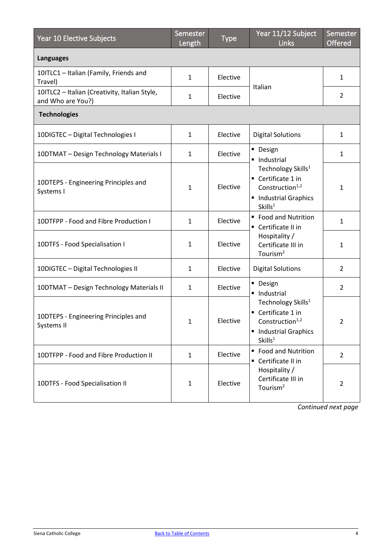| Year 10 Elective Subjects                                          | Semester<br>Length | <b>Type</b> | Year 11/12 Subject<br><b>Links</b>                                                                                                                                 | Semester<br>Offered |
|--------------------------------------------------------------------|--------------------|-------------|--------------------------------------------------------------------------------------------------------------------------------------------------------------------|---------------------|
| <b>Languages</b>                                                   |                    |             |                                                                                                                                                                    |                     |
| 10ITLC1 - Italian (Family, Friends and<br>Travel)                  | $\mathbf{1}$       | Elective    | Italian                                                                                                                                                            | 1                   |
| 10ITLC2 - Italian (Creativity, Italian Style,<br>and Who are You?) | $\mathbf{1}$       | Elective    |                                                                                                                                                                    | 2                   |
| <b>Technologies</b>                                                |                    |             |                                                                                                                                                                    |                     |
| 10DIGTEC - Digital Technologies I                                  | $\mathbf{1}$       | Elective    | <b>Digital Solutions</b>                                                                                                                                           | 1                   |
| 10DTMAT - Design Technology Materials I                            | $\mathbf{1}$       | Elective    | • Design<br>· Industrial<br>Technology Skills <sup>1</sup><br>Certificate 1 in<br>Construction <sup>1,2</sup><br>• Industrial Graphics<br>Skills <sup>1</sup>      | $\mathbf{1}$        |
| 10DTEPS - Engineering Principles and<br>Systems I                  | $\mathbf{1}$       | Elective    |                                                                                                                                                                    | $\mathbf{1}$        |
| 10DTFPP - Food and Fibre Production I                              | $\mathbf{1}$       | Elective    | ■ Food and Nutrition<br>Certificate II in<br>Hospitality /<br>Certificate III in<br>Tourism <sup>2</sup>                                                           | $\mathbf{1}$        |
| 10DTFS - Food Specialisation I                                     | 1                  | Elective    |                                                                                                                                                                    | $\mathbf{1}$        |
| 10DIGTEC - Digital Technologies II                                 | $\mathbf{1}$       | Elective    | <b>Digital Solutions</b>                                                                                                                                           | 2                   |
| 10DTMAT - Design Technology Materials II                           | 1                  | Elective    | • Design<br>· Industrial<br>Technology Skills <sup>1</sup><br>Certificate 1 in<br>Construction <sup>1,2</sup><br><b>Industrial Graphics</b><br>Skills <sup>1</sup> | $\overline{2}$      |
| 10DTEPS - Engineering Principles and<br>Systems II                 | $\mathbf{1}$       | Elective    |                                                                                                                                                                    | 2                   |
| 10DTFPP - Food and Fibre Production II                             | $\mathbf{1}$       | Elective    | ■ Food and Nutrition<br>Certificate II in<br>Hospitality /<br>Certificate III in<br>Tourism <sup>2</sup>                                                           | $\overline{2}$      |
| 10DTFS - Food Specialisation II                                    | $\mathbf{1}$       | Elective    |                                                                                                                                                                    | $\overline{2}$      |

*Continued next page*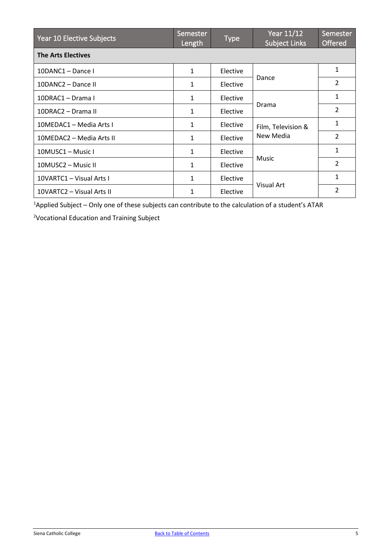| Year 10 Elective Subjects | Semester<br>Length | <b>Type</b> | Year 11/12<br><b>Subject Links</b> | Semester<br><b>Offered</b> |
|---------------------------|--------------------|-------------|------------------------------------|----------------------------|
| <b>The Arts Electives</b> |                    |             |                                    |                            |
| 10DANC1 - Dance I         | $\mathbf{1}$       | Elective    | Dance                              | 1                          |
| 10DANC2 - Dance II        | 1                  | Elective    |                                    | $\overline{2}$             |
| 10DRAC1 - Drama I         | 1                  | Elective    | Drama                              | 1                          |
| 10DRAC2 - Drama II        | $\mathbf{1}$       | Elective    |                                    | $\overline{2}$             |
| 10MEDAC1 - Media Arts I   | $\mathbf{1}$       | Elective    | Film, Television &<br>New Media    | 1                          |
| 10MEDAC2 - Media Arts II  | $\mathbf{1}$       | Elective    |                                    | $\mathcal{P}$              |
| 10MUSC1 - Music I         | $\mathbf{1}$       | Elective    | Music                              | 1                          |
| 10MUSC2 - Music II        | $\mathbf{1}$       | Elective    |                                    | $\overline{2}$             |
| 10VARTC1 - Visual Arts I  | 1                  | Elective    | Visual Art                         | $\mathbf{1}$               |
| 10VARTC2 - Visual Arts II | 1                  | Elective    |                                    | $\overline{2}$             |

<sup>1</sup>Applied Subject - Only one of these subjects can contribute to the calculation of a student's ATAR

<sup>2</sup>Vocational Education and Training Subject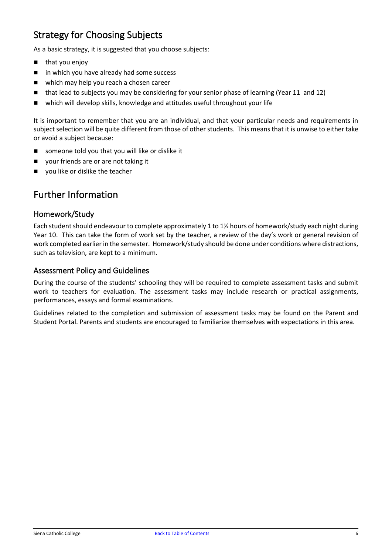## <span id="page-6-0"></span>Strategy for Choosing Subjects

As a basic strategy, it is suggested that you choose subjects:

- **n** that you enjoy
- in which you have already had some success
- which may help you reach a chosen career
- that lead to subjects you may be considering for your senior phase of learning (Year 11 and 12)
- which will develop skills, knowledge and attitudes useful throughout your life

It is important to remember that you are an individual, and that your particular needs and requirements in subject selection will be quite different from those of other students. This means that it is unwise to either take or avoid a subject because:

- someone told you that you will like or dislike it
- your friends are or are not taking it
- vou like or dislike the teacher

## <span id="page-6-1"></span>Further Information

#### Homework/Study

Each student should endeavour to complete approximately 1 to 1½ hours of homework/study each night during Year 10. This can take the form of work set by the teacher, a review of the day's work or general revision of work completed earlier in the semester. Homework/study should be done under conditions where distractions, such as television, are kept to a minimum.

#### Assessment Policy and Guidelines

During the course of the students' schooling they will be required to complete assessment tasks and submit work to teachers for evaluation. The assessment tasks may include research or practical assignments, performances, essays and formal examinations.

Guidelines related to the completion and submission of assessment tasks may be found on the Parent and Student Portal. Parents and students are encouraged to familiarize themselves with expectations in this area.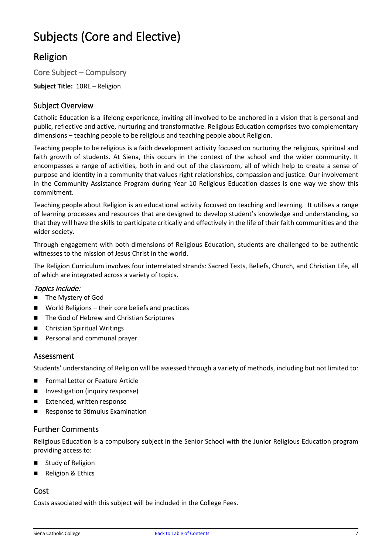# <span id="page-7-0"></span>Subjects (Core and Elective)

## <span id="page-7-1"></span>Religion

Core Subject – Compulsory

**Subject Title:** 10RE – Religion

#### Subject Overview

Catholic Education is a lifelong experience, inviting all involved to be anchored in a vision that is personal and public, reflective and active, nurturing and transformative. Religious Education comprises two complementary dimensions – teaching people to be religious and teaching people about Religion.

Teaching people to be religious is a faith development activity focused on nurturing the religious, spiritual and faith growth of students. At Siena, this occurs in the context of the school and the wider community. It encompasses a range of activities, both in and out of the classroom, all of which help to create a sense of purpose and identity in a community that values right relationships, compassion and justice. Our involvement in the Community Assistance Program during Year 10 Religious Education classes is one way we show this commitment.

Teaching people about Religion is an educational activity focused on teaching and learning. It utilises a range of learning processes and resources that are designed to develop student's knowledge and understanding, so that they will have the skills to participate critically and effectively in the life of their faith communities and the wider society.

Through engagement with both dimensions of Religious Education, students are challenged to be authentic witnesses to the mission of Jesus Christ in the world.

The Religion Curriculum involves four interrelated strands: Sacred Texts, Beliefs, Church, and Christian Life, all of which are integrated across a variety of topics.

#### Topics include:

- **The Mystery of God**
- World Religions their core beliefs and practices
- The God of Hebrew and Christian Scriptures
- Christian Spiritual Writings
- Personal and communal prayer

#### Assessment

Students' understanding of Religion will be assessed through a variety of methods, including but not limited to:

- Formal Letter or Feature Article
- **Investigation (inquiry response)**
- Extended, written response
- Response to Stimulus Examination

#### Further Comments

Religious Education is a compulsory subject in the Senior School with the Junior Religious Education program providing access to:

- Study of Religion
- Religion & Ethics

#### Cost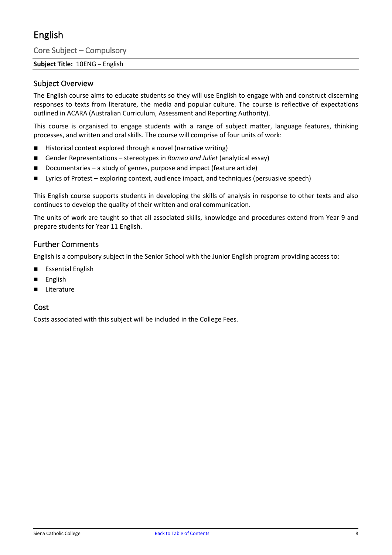## <span id="page-8-0"></span>English

Core Subject – Compulsory

#### **Subject Title:** 10ENG – English

#### Subject Overview

The English course aims to educate students so they will use English to engage with and construct discerning responses to texts from literature, the media and popular culture. The course is reflective of expectations outlined in ACARA (Australian Curriculum, Assessment and Reporting Authority).

This course is organised to engage students with a range of subject matter, language features, thinking processes, and written and oral skills. The course will comprise of four units of work:

- Historical context explored through a novel (narrative writing)
- Gender Representations stereotypes in *Romeo and Juliet* (analytical essay)
- Documentaries a study of genres, purpose and impact (feature article)
- Lyrics of Protest exploring context, audience impact, and techniques (persuasive speech)

This English course supports students in developing the skills of analysis in response to other texts and also continues to develop the quality of their written and oral communication.

The units of work are taught so that all associated skills, knowledge and procedures extend from Year 9 and prepare students for Year 11 English.

#### Further Comments

English is a compulsory subject in the Senior School with the Junior English program providing access to:

- **E** Essential English
- English
- Literature

#### Cost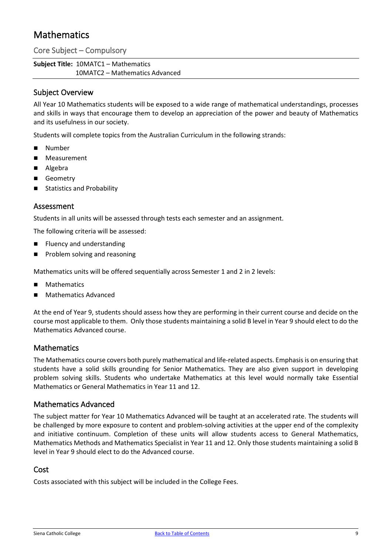## <span id="page-9-0"></span>**Mathematics**

Core Subject – Compulsory

**Subject Title:** 10MATC1 – Mathematics 10MATC2 – Mathematics Advanced

#### Subject Overview

All Year 10 Mathematics students will be exposed to a wide range of mathematical understandings, processes and skills in ways that encourage them to develop an appreciation of the power and beauty of Mathematics and its usefulness in our society.

Students will complete topics from the Australian Curriculum in the following strands:

- Number
- **Measurement**
- Algebra
- Geometry
- Statistics and Probability

#### Assessment

Students in all units will be assessed through tests each semester and an assignment.

The following criteria will be assessed:

- Fluency and understanding
- **Problem solving and reasoning**

Mathematics units will be offered sequentially across Semester 1 and 2 in 2 levels:

- Mathematics
- Mathematics Advanced

At the end of Year 9, students should assess how they are performing in their current course and decide on the course most applicable to them. Only those students maintaining a solid B level in Year 9 should elect to do the Mathematics Advanced course.

#### Mathematics

The Mathematics course covers both purely mathematical and life-related aspects. Emphasis is on ensuring that students have a solid skills grounding for Senior Mathematics. They are also given support in developing problem solving skills. Students who undertake Mathematics at this level would normally take Essential Mathematics or General Mathematics in Year 11 and 12.

#### Mathematics Advanced

The subject matter for Year 10 Mathematics Advanced will be taught at an accelerated rate. The students will be challenged by more exposure to content and problem-solving activities at the upper end of the complexity and initiative continuum. Completion of these units will allow students access to General Mathematics, Mathematics Methods and Mathematics Specialist in Year 11 and 12. Only those students maintaining a solid B level in Year 9 should elect to do the Advanced course.

#### Cost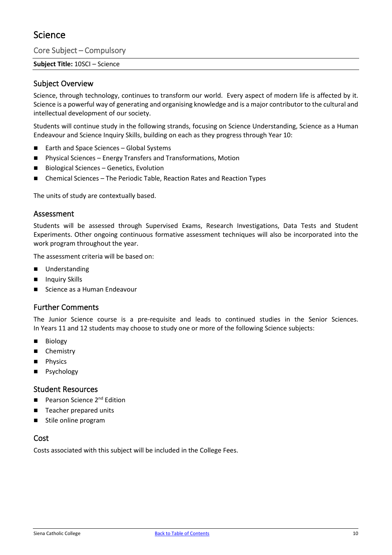## <span id="page-10-0"></span>Science

Core Subject – Compulsory

**Subject Title:** 10SCI – Science

#### Subject Overview

Science, through technology, continues to transform our world. Every aspect of modern life is affected by it. Science is a powerful way of generating and organising knowledge and is a major contributor to the cultural and intellectual development of our society.

Students will continue study in the following strands, focusing on Science Understanding, Science as a Human Endeavour and Science Inquiry Skills, building on each as they progress through Year 10:

- Earth and Space Sciences Global Systems
- Physical Sciences Energy Transfers and Transformations, Motion
- Biological Sciences Genetics, Evolution
- Chemical Sciences The Periodic Table, Reaction Rates and Reaction Types

The units of study are contextually based.

#### Assessment

Students will be assessed through Supervised Exams, Research Investigations, Data Tests and Student Experiments. Other ongoing continuous formative assessment techniques will also be incorporated into the work program throughout the year.

The assessment criteria will be based on:

- **Understanding**
- Inquiry Skills
- Science as a Human Endeavour

#### Further Comments

The Junior Science course is a pre-requisite and leads to continued studies in the Senior Sciences. In Years 11 and 12 students may choose to study one or more of the following Science subjects:

- **Biology**
- Chemistry
- **Physics**
- Psychology

#### Student Resources

- Pearson Science 2nd Edition
- Teacher prepared units
- Stile online program

#### Cost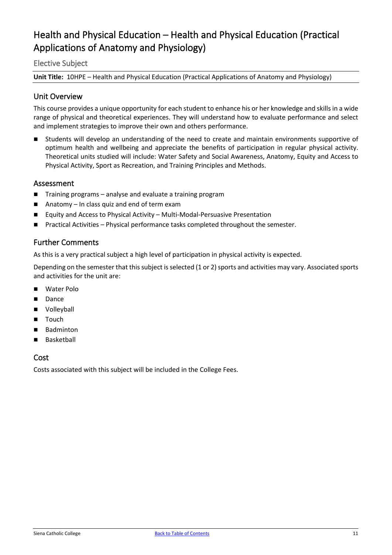## <span id="page-11-0"></span>Health and Physical Education – Health and Physical Education (Practical Applications of Anatomy and Physiology)

#### Elective Subject

**Unit Title:** 10HPE – Health and Physical Education (Practical Applications of Anatomy and Physiology)

#### Unit Overview

This course provides a unique opportunity for each student to enhance his or her knowledge and skills in a wide range of physical and theoretical experiences. They will understand how to evaluate performance and select and implement strategies to improve their own and others performance.

 Students will develop an understanding of the need to create and maintain environments supportive of optimum health and wellbeing and appreciate the benefits of participation in regular physical activity. Theoretical units studied will include: Water Safety and Social Awareness, Anatomy, Equity and Access to Physical Activity, Sport as Recreation, and Training Principles and Methods.

#### Assessment

- Training programs analyse and evaluate a training program
- Anatomy In class quiz and end of term exam
- Equity and Access to Physical Activity Multi-Modal-Persuasive Presentation
- Practical Activities Physical performance tasks completed throughout the semester.

#### Further Comments

As this is a very practical subject a high level of participation in physical activity is expected.

Depending on the semester that this subject is selected (1 or 2) sports and activities may vary. Associated sports and activities for the unit are:

- Water Polo
- **Dance**
- **volleyball**
- Touch
- Badminton
- Basketball

#### Cost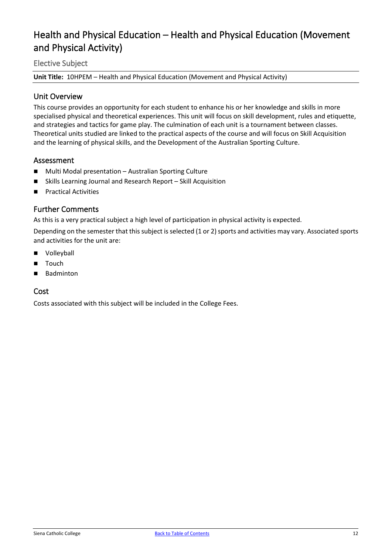## <span id="page-12-0"></span>Health and Physical Education – Health and Physical Education (Movement and Physical Activity)

#### Elective Subject

**Unit Title:** 10HPEM – Health and Physical Education (Movement and Physical Activity)

#### Unit Overview

This course provides an opportunity for each student to enhance his or her knowledge and skills in more specialised physical and theoretical experiences. This unit will focus on skill development, rules and etiquette, and strategies and tactics for game play. The culmination of each unit is a tournament between classes. Theoretical units studied are linked to the practical aspects of the course and will focus on Skill Acquisition and the learning of physical skills, and the Development of the Australian Sporting Culture.

#### Assessment

- Multi Modal presentation Australian Sporting Culture
- Skills Learning Journal and Research Report Skill Acquisition
- **Practical Activities**

#### Further Comments

As this is a very practical subject a high level of participation in physical activity is expected.

Depending on the semester that this subject is selected (1 or 2) sports and activities may vary. Associated sports and activities for the unit are:

- **Name Volleyball**
- **Touch**
- Badminton

#### Cost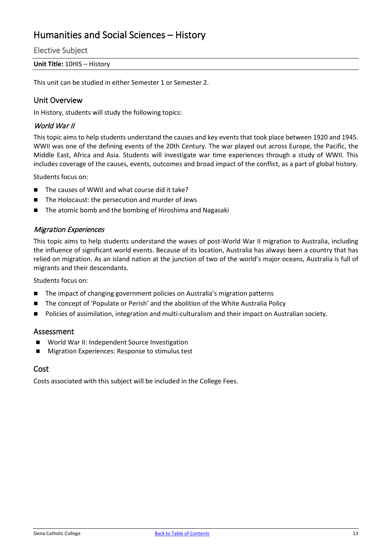## <span id="page-13-0"></span>Humanities and Social Sciences – History

Elective Subject

#### **Unit Title:** 10HIS – History

This unit can be studied in either Semester 1 or Semester 2.

#### Unit Overview

In History, students will study the following topics:

#### World War II

This topic aims to help students understand the causes and key events that took place between 1920 and 1945. WWII was one of the defining events of the 20th Century. The war played out across Europe, the Pacific, the Middle East, Africa and Asia. Students will investigate war time experiences through a study of WWII. This includes coverage of the causes, events, outcomes and broad impact of the conflict, as a part of global history.

Students focus on:

- The causes of WWII and what course did it take?
- The Holocaust: the persecution and murder of Jews
- The atomic bomb and the bombing of Hiroshima and Nagasaki

#### Migration Experiences

This topic aims to help students understand the waves of post-World War II migration to Australia, including the influence of significant world events. Because of its location, Australia has always been a country that has relied on migration. As an island nation at the junction of two of the world's major oceans, Australia is full of migrants and their descendants.

Students focus on:

- The impact of changing government policies on Australia's migration patterns
- The concept of 'Populate or Perish' and the abolition of the White Australia Policy
- **Policies of assimilation, integration and multi-culturalism and their impact on Australian society.**

#### Assessment

- World War II: Independent Source Investigation
- **Migration Experiences: Response to stimulus test**

#### Cost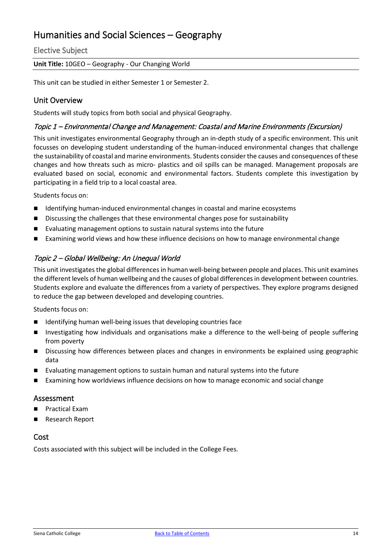## <span id="page-14-0"></span>Humanities and Social Sciences – Geography

Elective Subject

**Unit Title:** 10GEO – Geography - Our Changing World

This unit can be studied in either Semester 1 or Semester 2.

#### Unit Overview

Students will study topics from both social and physical Geography.

#### Topic 1 – Environmental Change and Management: Coastal and Marine Environments (Excursion)

This unit investigates environmental Geography through an in-depth study of a specific environment. This unit focusses on developing student understanding of the human-induced environmental changes that challenge the sustainability of coastal and marine environments. Students consider the causes and consequences of these changes and how threats such as micro- plastics and oil spills can be managed. Management proposals are evaluated based on social, economic and environmental factors. Students complete this investigation by participating in a field trip to a local coastal area.

Students focus on:

- Identifying human-induced environmental changes in coastal and marine ecosystems
- **Discussing the challenges that these environmental changes pose for sustainability**
- Evaluating management options to sustain natural systems into the future
- Examining world views and how these influence decisions on how to manage environmental change

#### Topic 2 – Global Wellbeing: An Unequal World

This unit investigates the global differences in human well-being between people and places. This unit examines the different levels of human wellbeing and the causes of global differences in development between countries. Students explore and evaluate the differences from a variety of perspectives. They explore programs designed to reduce the gap between developed and developing countries.

Students focus on:

- Identifying human well-being issues that developing countries face
- Investigating how individuals and organisations make a difference to the well-being of people suffering from poverty
- **Discussing how differences between places and changes in environments be explained using geographic** data
- Evaluating management options to sustain human and natural systems into the future
- Examining how worldviews influence decisions on how to manage economic and social change

#### Assessment

- Practical Exam
- Research Report

#### Cost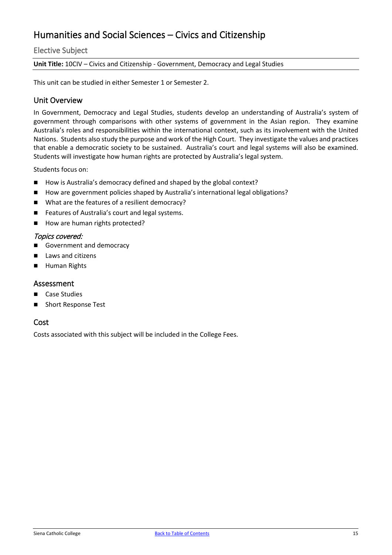## <span id="page-15-0"></span>Humanities and Social Sciences – Civics and Citizenship

#### Elective Subject

**Unit Title:** 10CIV – Civics and Citizenship - Government, Democracy and Legal Studies

This unit can be studied in either Semester 1 or Semester 2.

#### Unit Overview

In Government, Democracy and Legal Studies, students develop an understanding of Australia's system of government through comparisons with other systems of government in the Asian region. They examine Australia's roles and responsibilities within the international context, such as its involvement with the United Nations. Students also study the purpose and work of the High Court. They investigate the values and practices that enable a democratic society to be sustained. Australia's court and legal systems will also be examined. Students will investigate how human rights are protected by Australia's legal system.

Students focus on:

- How is Australia's democracy defined and shaped by the global context?
- How are government policies shaped by Australia's international legal obligations?
- What are the features of a resilient democracy?
- Features of Australia's court and legal systems.
- How are human rights protected?

#### Topics covered:

- Government and democracy
- Laws and citizens
- Human Rights

#### Assessment

- Case Studies
- Short Response Test

#### Cost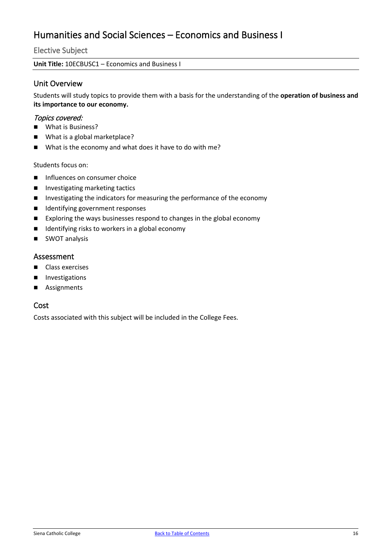## <span id="page-16-0"></span>Humanities and Social Sciences – Economics and Business I

Elective Subject

**Unit Title:** 10ECBUSC1 – Economics and Business I

#### Unit Overview

Students will study topics to provide them with a basis for the understanding of the **operation of business and its importance to our economy.**

#### Topics covered:

- What is Business?
- What is a global marketplace?
- What is the economy and what does it have to do with me?

Students focus on:

- $\blacksquare$  Influences on consumer choice
- Investigating marketing tactics
- **Investigating the indicators for measuring the performance of the economy**
- Identifying government responses
- Exploring the ways businesses respond to changes in the global economy
- $\blacksquare$  Identifying risks to workers in a global economy
- **SWOT analysis**

#### Assessment

- Class exercises
- **Investigations**
- **Assignments**

#### Cost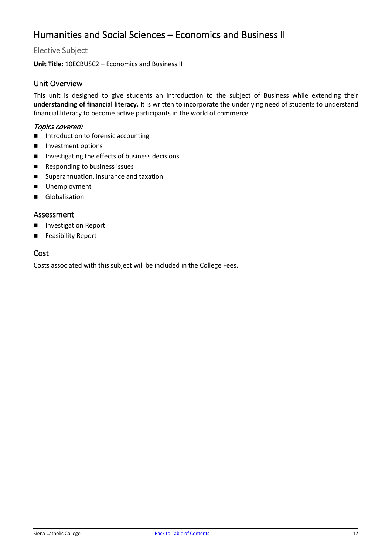## <span id="page-17-0"></span>Humanities and Social Sciences – Economics and Business II

Elective Subject

**Unit Title:** 10ECBUSC2 – Economics and Business II

#### Unit Overview

This unit is designed to give students an introduction to the subject of Business while extending their **understanding of financial literacy.** It is written to incorporate the underlying need of students to understand financial literacy to become active participants in the world of commerce.

#### Topics covered:

- **Introduction to forensic accounting**
- **Investment options**
- Investigating the effects of business decisions
- Responding to business issues
- Superannuation, insurance and taxation
- **Unemployment**
- Globalisation

#### Assessment

- **Investigation Report**
- Feasibility Report

#### Cost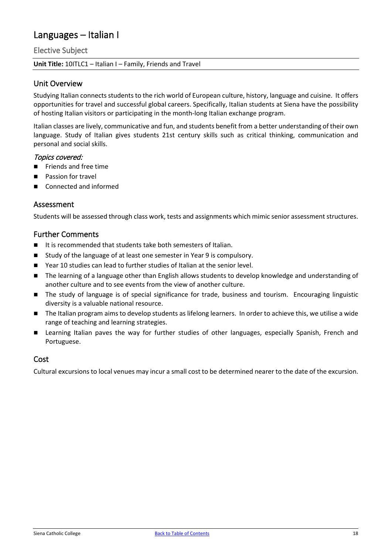## <span id="page-18-0"></span>Languages – Italian I

#### Elective Subject

#### **Unit Title:** 10ITLC1 – Italian I – Family, Friends and Travel

#### Unit Overview

Studying Italian connects students to the rich world of European culture, history, language and cuisine. It offers opportunities for travel and successful global careers. Specifically, Italian students at Siena have the possibility of hosting Italian visitors or participating in the month-long Italian exchange program.

Italian classes are lively, communicative and fun, and students benefit from a better understanding of their own language. Study of Italian gives students 21st century skills such as critical thinking, communication and personal and social skills.

#### Topics covered:

- Friends and free time
- Passion for travel
- Connected and informed

#### Assessment

Students will be assessed through class work, tests and assignments which mimic senior assessment structures.

#### Further Comments

- It is recommended that students take both semesters of Italian.
- Study of the language of at least one semester in Year 9 is compulsory.
- Year 10 studies can lead to further studies of Italian at the senior level.
- The learning of a language other than English allows students to develop knowledge and understanding of another culture and to see events from the view of another culture.
- The study of language is of special significance for trade, business and tourism. Encouraging linguistic diversity is a valuable national resource.
- The Italian program aims to develop students as lifelong learners. In order to achieve this, we utilise a wide range of teaching and learning strategies.
- Learning Italian paves the way for further studies of other languages, especially Spanish, French and Portuguese.

#### Cost

Cultural excursions to local venues may incur a small cost to be determined nearer to the date of the excursion.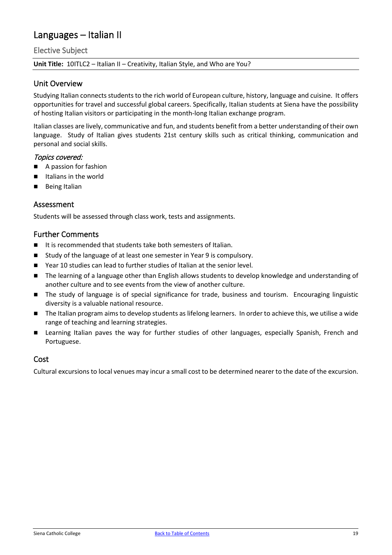## <span id="page-19-0"></span>Languages – Italian II

Elective Subject

#### **Unit Title:** 10ITLC2 – Italian II – Creativity, Italian Style, and Who are You?

#### Unit Overview

Studying Italian connects students to the rich world of European culture, history, language and cuisine. It offers opportunities for travel and successful global careers. Specifically, Italian students at Siena have the possibility of hosting Italian visitors or participating in the month-long Italian exchange program.

Italian classes are lively, communicative and fun, and students benefit from a better understanding of their own language. Study of Italian gives students 21st century skills such as critical thinking, communication and personal and social skills.

#### Topics covered:

- A passion for fashion
- Italians in the world
- Being Italian

#### Assessment

Students will be assessed through class work, tests and assignments.

#### Further Comments

- It is recommended that students take both semesters of Italian.
- Study of the language of at least one semester in Year 9 is compulsory.
- Year 10 studies can lead to further studies of Italian at the senior level.
- The learning of a language other than English allows students to develop knowledge and understanding of another culture and to see events from the view of another culture.
- The study of language is of special significance for trade, business and tourism. Encouraging linguistic diversity is a valuable national resource.
- The Italian program aims to develop students as lifelong learners. In order to achieve this, we utilise a wide range of teaching and learning strategies.
- Learning Italian paves the way for further studies of other languages, especially Spanish, French and Portuguese.

#### Cost

Cultural excursions to local venues may incur a small cost to be determined nearer to the date of the excursion.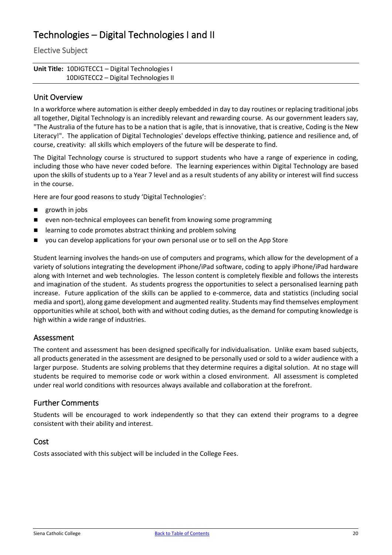## <span id="page-20-0"></span>Technologies – Digital Technologies I and II

Elective Subject

**Unit Title:** 10DIGTECC1 – Digital Technologies I 10DIGTECC2 – Digital Technologies II

#### Unit Overview

In a workforce where automation is either deeply embedded in day to day routines or replacing traditional jobs all together, Digital Technology is an incredibly relevant and rewarding course. As our government leaders say, "The Australia of the future has to be a nation that is agile, that is innovative, that is creative, Coding is the New Literacy!". The application of Digital Technologies' develops effective thinking, patience and resilience and, of course, creativity: all skills which employers of the future will be desperate to find.

The Digital Technology course is structured to support students who have a range of experience in coding, including those who have never coded before. The learning experiences within Digital Technology are based upon the skills of students up to a Year 7 level and as a result students of any ability or interest will find success in the course.

Here are four good reasons to study 'Digital Technologies':

- **growth in jobs**
- even non-technical employees can benefit from knowing some programming
- learning to code promotes abstract thinking and problem solving
- you can develop applications for your own personal use or to sell on the App Store

Student learning involves the hands-on use of computers and programs, which allow for the development of a variety of solutions integrating the development iPhone/iPad software, coding to apply iPhone/iPad hardware along with Internet and web technologies. The lesson content is completely flexible and follows the interests and imagination of the student. As students progress the opportunities to select a personalised learning path increase. Future application of the skills can be applied to e-commerce, data and statistics (including social media and sport), along game development and augmented reality. Students may find themselves employment opportunities while at school, both with and without coding duties, as the demand for computing knowledge is high within a wide range of industries.

#### Assessment

The content and assessment has been designed specifically for individualisation. Unlike exam based subjects, all products generated in the assessment are designed to be personally used or sold to a wider audience with a larger purpose. Students are solving problems that they determine requires a digital solution. At no stage will students be required to memorise code or work within a closed environment. All assessment is completed under real world conditions with resources always available and collaboration at the forefront.

#### Further Comments

Students will be encouraged to work independently so that they can extend their programs to a degree consistent with their ability and interest.

#### Cost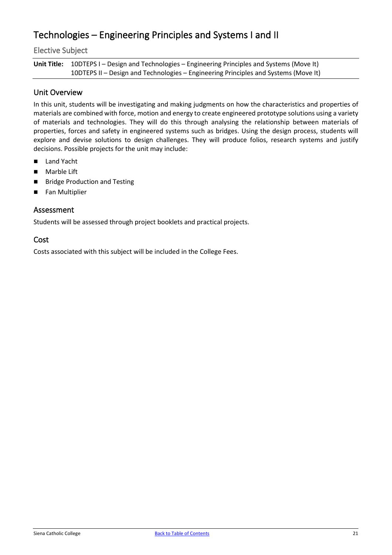## <span id="page-21-0"></span>Technologies – Engineering Principles and Systems I and II

Elective Subject

Unit Title: 10DTEPS I – Design and Technologies – Engineering Principles and Systems (Move It) 10DTEPS II – Design and Technologies – Engineering Principles and Systems (Move It)

#### Unit Overview

In this unit, students will be investigating and making judgments on how the characteristics and properties of materials are combined with force, motion and energy to create engineered prototype solutions using a variety of materials and technologies. They will do this through analysing the relationship between materials of properties, forces and safety in engineered systems such as bridges. Using the design process, students will explore and devise solutions to design challenges. They will produce folios, research systems and justify decisions. Possible projects for the unit may include:

- Land Yacht
- **Marble Lift**
- **Bridge Production and Testing**
- Fan Multiplier

#### Assessment

Students will be assessed through project booklets and practical projects.

#### Cost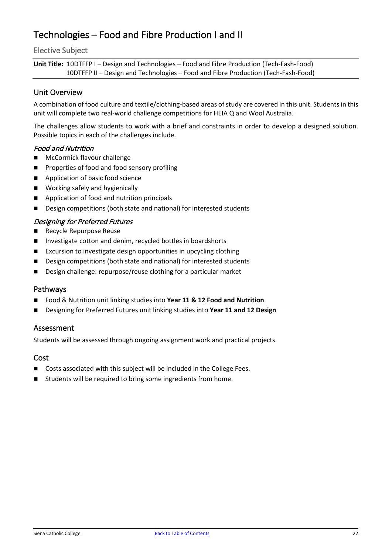## <span id="page-22-0"></span>Technologies – Food and Fibre Production I and II

#### Elective Subject

**Unit Title:** 10DTFFP I – Design and Technologies – Food and Fibre Production (Tech-Fash-Food) 10DTFFP II – Design and Technologies – Food and Fibre Production (Tech-Fash-Food)

#### Unit Overview

A combination of food culture and textile/clothing-based areas of study are covered in this unit. Students in this unit will complete two real-world challenge competitions for HEIA Q and Wool Australia.

The challenges allow students to work with a brief and constraints in order to develop a designed solution. Possible topics in each of the challenges include.

#### Food and Nutrition

- **McCormick flavour challenge**
- **Properties of food and food sensory profiling**
- Application of basic food science
- **Norking safely and hygienically**
- Application of food and nutrition principals
- Design competitions (both state and national) for interested students

#### Designing for Preferred Futures

- Recycle Repurpose Reuse
- Investigate cotton and denim, recycled bottles in boardshorts
- Excursion to investigate design opportunities in upcycling clothing
- Design competitions (both state and national) for interested students
- Design challenge: repurpose/reuse clothing for a particular market

#### Pathways

- Food & Nutrition unit linking studies into **Year 11 & 12 Food and Nutrition**
- Designing for Preferred Futures unit linking studies into **Year 11 and 12 Design**

#### Assessment

Students will be assessed through ongoing assignment work and practical projects.

#### Cost

- Costs associated with this subject will be included in the College Fees.
- Students will be required to bring some ingredients from home.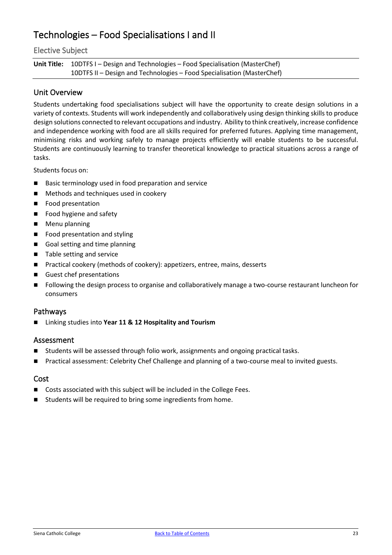## <span id="page-23-0"></span>Technologies – Food Specialisations I and II

#### Elective Subject

Unit Title: 10DTFS I – Design and Technologies – Food Specialisation (MasterChef) 10DTFS II – Design and Technologies – Food Specialisation (MasterChef)

#### Unit Overview

Students undertaking food specialisations subject will have the opportunity to create design solutions in a variety of contexts. Students will work independently and collaboratively using design thinking skills to produce design solutions connected to relevant occupations and industry. Ability to think creatively, increase confidence and independence working with food are all skills required for preferred futures. Applying time management, minimising risks and working safely to manage projects efficiently will enable students to be successful. Students are continuously learning to transfer theoretical knowledge to practical situations across a range of tasks.

Students focus on:

- Basic terminology used in food preparation and service
- **Methods and techniques used in cookery**
- **Food presentation**
- Food hygiene and safety
- **Menu planning**
- Food presentation and styling
- Goal setting and time planning
- Table setting and service
- Practical cookery (methods of cookery): appetizers, entree, mains, desserts
- Guest chef presentations
- Following the design process to organise and collaboratively manage a two-course restaurant luncheon for consumers

#### Pathways

Linking studies into **Year 11 & 12 Hospitality and Tourism**

#### Assessment

- Students will be assessed through folio work, assignments and ongoing practical tasks.
- Practical assessment: Celebrity Chef Challenge and planning of a two-course meal to invited guests.

#### Cost

- Costs associated with this subject will be included in the College Fees.
- Students will be required to bring some ingredients from home.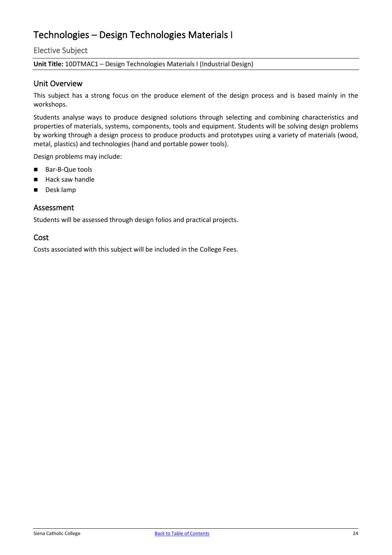## <span id="page-24-0"></span>Technologies – Design Technologies Materials I

#### Elective Subject

#### **Unit Title:** 10DTMAC1 – Design Technologies Materials I (Industrial Design)

#### Unit Overview

This subject has a strong focus on the produce element of the design process and is based mainly in the workshops.

Students analyse ways to produce designed solutions through selecting and combining characteristics and properties of materials, systems, components, tools and equipment. Students will be solving design problems by working through a design process to produce products and prototypes using a variety of materials (wood, metal, plastics) and technologies (hand and portable power tools).

Design problems may include:

- Bar-B-Que tools
- $Hack saw handle$
- Desk lamp

#### Assessment

Students will be assessed through design folios and practical projects.

#### Cost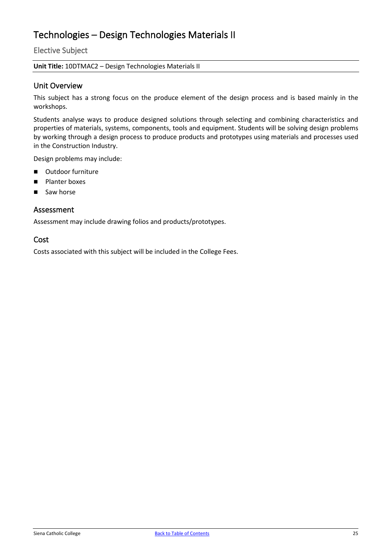## <span id="page-25-0"></span>Technologies – Design Technologies Materials II

Elective Subject

#### **Unit Title:** 10DTMAC2 – Design Technologies Materials II

#### Unit Overview

This subject has a strong focus on the produce element of the design process and is based mainly in the workshops.

Students analyse ways to produce designed solutions through selecting and combining characteristics and properties of materials, systems, components, tools and equipment. Students will be solving design problems by working through a design process to produce products and prototypes using materials and processes used in the Construction Industry.

Design problems may include:

- Outdoor furniture
- **Planter boxes**
- Saw horse

#### Assessment

Assessment may include drawing folios and products/prototypes.

#### Cost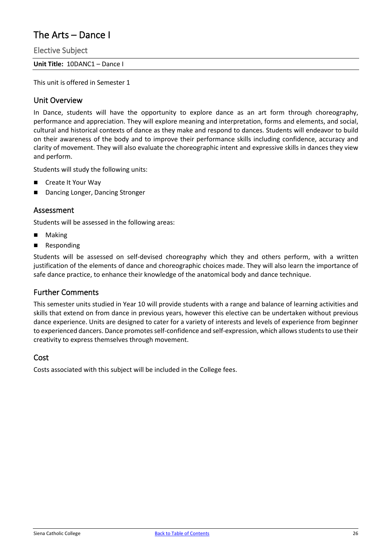## <span id="page-26-0"></span>The Arts – Dance I

Elective Subject

**Unit Title:** 10DANC1 – Dance I

This unit is offered in Semester 1

#### Unit Overview

In Dance, students will have the opportunity to explore dance as an art form through choreography, performance and appreciation. They will explore meaning and interpretation, forms and elements, and social, cultural and historical contexts of dance as they make and respond to dances. Students will endeavor to build on their awareness of the body and to improve their performance skills including confidence, accuracy and clarity of movement. They will also evaluate the choreographic intent and expressive skills in dances they view and perform.

Students will study the following units:

- Create It Your Way
- Dancing Longer, Dancing Stronger

#### Assessment

Students will be assessed in the following areas:

- Making
- **Responding**

Students will be assessed on self-devised choreography which they and others perform, with a written justification of the elements of dance and choreographic choices made. They will also learn the importance of safe dance practice, to enhance their knowledge of the anatomical body and dance technique.

#### Further Comments

This semester units studied in Year 10 will provide students with a range and balance of learning activities and skills that extend on from dance in previous years, however this elective can be undertaken without previous dance experience. Units are designed to cater for a variety of interests and levels of experience from beginner to experienced dancers. Dance promotes self-confidence and self-expression, which allows students to use their creativity to express themselves through movement.

#### Cost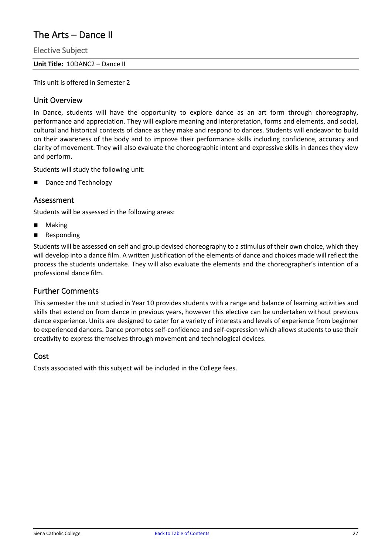## <span id="page-27-0"></span>The Arts – Dance II

Elective Subject

**Unit Title:** 10DANC2 – Dance II

This unit is offered in Semester 2

#### Unit Overview

In Dance, students will have the opportunity to explore dance as an art form through choreography, performance and appreciation. They will explore meaning and interpretation, forms and elements, and social, cultural and historical contexts of dance as they make and respond to dances. Students will endeavor to build on their awareness of the body and to improve their performance skills including confidence, accuracy and clarity of movement. They will also evaluate the choreographic intent and expressive skills in dances they view and perform.

Students will study the following unit:

Dance and Technology

#### Assessment

Students will be assessed in the following areas:

- Making
- **Responding**

Students will be assessed on self and group devised choreography to a stimulus of their own choice, which they will develop into a dance film. A written justification of the elements of dance and choices made will reflect the process the students undertake. They will also evaluate the elements and the choreographer's intention of a professional dance film.

#### Further Comments

This semester the unit studied in Year 10 provides students with a range and balance of learning activities and skills that extend on from dance in previous years, however this elective can be undertaken without previous dance experience. Units are designed to cater for a variety of interests and levels of experience from beginner to experienced dancers. Dance promotes self-confidence and self-expression which allows students to use their creativity to express themselves through movement and technological devices.

#### Cost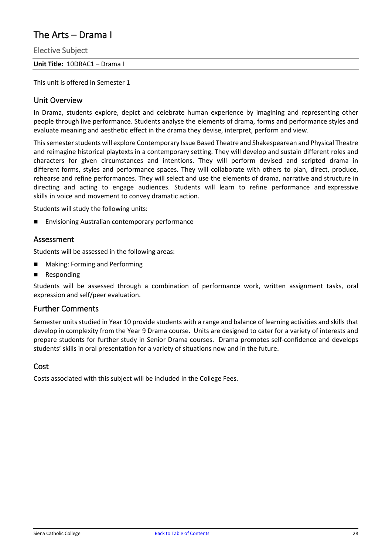## <span id="page-28-0"></span>The Arts – Drama I

Elective Subject

**Unit Title:** 10DRAC1 – Drama I

This unit is offered in Semester 1

#### Unit Overview

In Drama, students explore, depict and celebrate human experience by imagining and representing other people through live performance. Students analyse the elements of drama, forms and performance styles and evaluate meaning and aesthetic effect in the drama they devise, interpret, perform and view.

This semester students will explore Contemporary Issue Based Theatre and Shakespearean and Physical Theatre and reimagine historical playtexts in a contemporary setting. They will develop and sustain different roles and characters for given circumstances and intentions. They will perform devised and scripted drama in different forms, styles and performance spaces. They will collaborate with others to plan, direct, produce, rehearse and refine performances. They will select and use the elements of drama, narrative and structure in directing and acting to engage audiences. Students will learn to refine performance and expressive skills in voice and movement to convey dramatic action.

Students will study the following units:

Envisioning Australian contemporary performance

#### Assessment

Students will be assessed in the following areas:

- Making: Forming and Performing
- **Responding**

Students will be assessed through a combination of performance work, written assignment tasks, oral expression and self/peer evaluation.

#### Further Comments

Semester units studied in Year 10 provide students with a range and balance of learning activities and skills that develop in complexity from the Year 9 Drama course. Units are designed to cater for a variety of interests and prepare students for further study in Senior Drama courses. Drama promotes self-confidence and develops students' skills in oral presentation for a variety of situations now and in the future.

#### Cost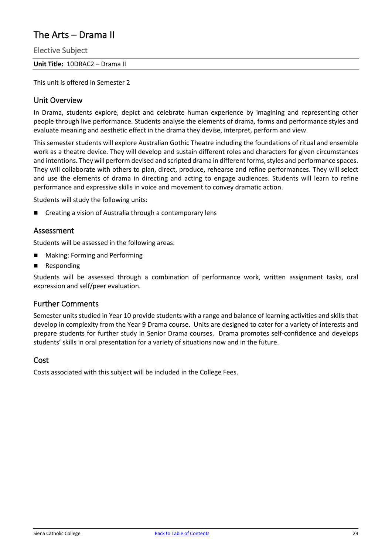## <span id="page-29-0"></span>The Arts – Drama II

Elective Subject

**Unit Title:** 10DRAC2 – Drama II

This unit is offered in Semester 2

#### Unit Overview

In Drama, students explore, depict and celebrate human experience by imagining and representing other people through live performance. Students analyse the elements of drama, forms and performance styles and evaluate meaning and aesthetic effect in the drama they devise, interpret, perform and view.

This semester students will explore Australian Gothic Theatre including the foundations of ritual and ensemble work as a theatre device. They will develop and sustain different roles and characters for given circumstances and intentions. They will perform devised and scripted drama in different forms, styles and performance spaces. They will collaborate with others to plan, direct, produce, rehearse and refine performances. They will select and use the elements of drama in directing and acting to engage audiences. Students will learn to refine performance and expressive skills in voice and movement to convey dramatic action.

Students will study the following units:

Creating a vision of Australia through a contemporary lens

#### Assessment

Students will be assessed in the following areas:

- **Making: Forming and Performing**
- Responding

Students will be assessed through a combination of performance work, written assignment tasks, oral expression and self/peer evaluation.

#### Further Comments

Semester units studied in Year 10 provide students with a range and balance of learning activities and skills that develop in complexity from the Year 9 Drama course. Units are designed to cater for a variety of interests and prepare students for further study in Senior Drama courses. Drama promotes self-confidence and develops students' skills in oral presentation for a variety of situations now and in the future.

#### Cost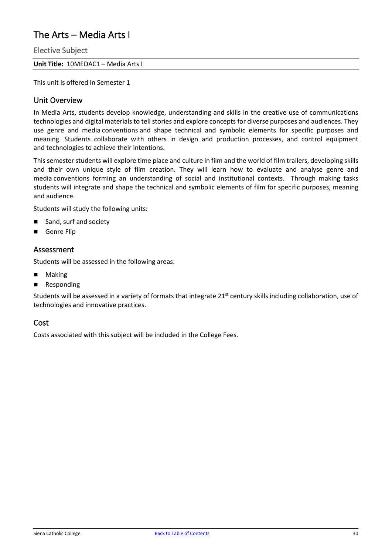## <span id="page-30-0"></span>The Arts – Media Arts I

Elective Subject

**Unit Title:** 10MEDAC1 – Media Arts I

This unit is offered in Semester 1

#### Unit Overview

In Media Arts, students develop knowledge, understanding and skills in the creative use of communications technologies and digital materials to tell stories and explore concepts for diverse purposes and audiences. They use genre and media conventions and shape technical and symbolic elements for specific purposes and meaning. Students collaborate with others in design and production processes, and control equipment and technologies to achieve their intentions.

This semester students will explore time place and culture in film and the world of film trailers, developing skills and their own unique style of film creation. They will learn how to evaluate and analyse genre and media conventions forming an understanding of social and institutional contexts. Through making tasks students will integrate and shape the technical and symbolic elements of film for specific purposes, meaning and audience.

Students will study the following units:

- Sand, surf and society
- Genre Flip

#### Assessment

Students will be assessed in the following areas:

- Making
- **Responding**

Students will be assessed in a variety of formats that integrate 21<sup>st</sup> century skills including collaboration, use of technologies and innovative practices.

#### Cost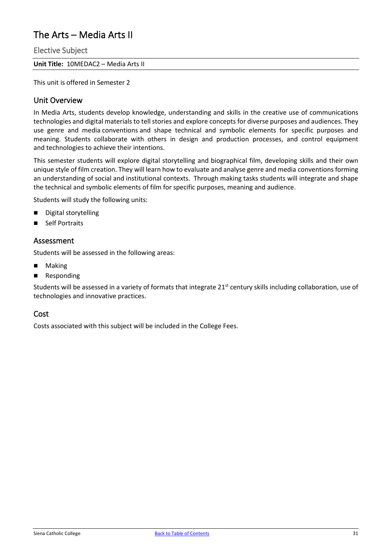## <span id="page-31-0"></span>The Arts – Media Arts II

Elective Subject

**Unit Title:** 10MEDAC2 – Media Arts II

This unit is offered in Semester 2

#### Unit Overview

In Media Arts, students develop knowledge, understanding and skills in the creative use of communications technologies and digital materials to tell stories and explore concepts for diverse purposes and audiences. They use genre and media conventions and shape technical and symbolic elements for specific purposes and meaning. Students collaborate with others in design and production processes, and control equipment and technologies to achieve their intentions.

This semester students will explore digital storytelling and biographical film, developing skills and their own unique style of film creation. They will learn how to evaluate and analyse genre and media conventions forming an understanding of social and institutional contexts. Through making tasks students will integrate and shape the technical and symbolic elements of film for specific purposes, meaning and audience.

Students will study the following units:

- Digital storytelling
- Self Portraits

#### Assessment

Students will be assessed in the following areas:

- Making
- **Responding**

Students will be assessed in a variety of formats that integrate 21<sup>st</sup> century skills including collaboration, use of technologies and innovative practices.

#### Cost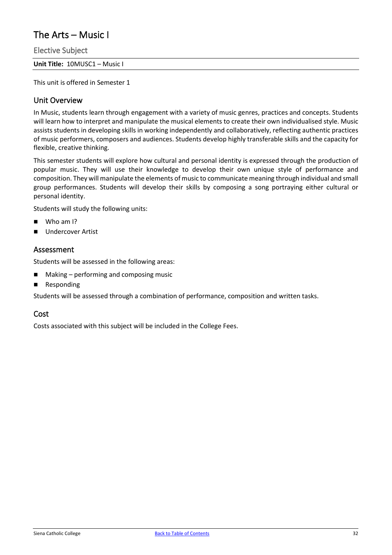## <span id="page-32-0"></span>The Arts – Music I

Elective Subject

**Unit Title:** 10MUSC1 – Music I

This unit is offered in Semester 1

#### Unit Overview

In Music, students learn through engagement with a variety of music genres, practices and concepts. Students will learn how to interpret and manipulate the musical elements to create their own individualised style. Music assists students in developing skills in working independently and collaboratively, reflecting authentic practices of music performers, composers and audiences. Students develop highly transferable skills and the capacity for flexible, creative thinking.

This semester students will explore how cultural and personal identity is expressed through the production of popular music. They will use their knowledge to develop their own unique style of performance and composition. They will manipulate the elements of music to communicate meaning through individual and small group performances. Students will develop their skills by composing a song portraying either cultural or personal identity.

Students will study the following units:

- Who am I?
- Undercover Artist

#### Assessment

Students will be assessed in the following areas:

- Making performing and composing music
- **Responding**

Students will be assessed through a combination of performance, composition and written tasks.

#### Cost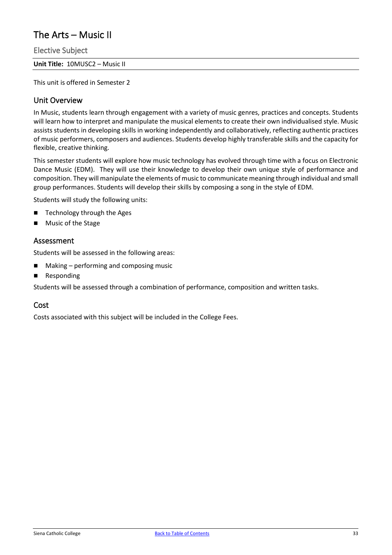## <span id="page-33-0"></span>The Arts – Music II

Elective Subject

**Unit Title:** 10MUSC2 – Music II

This unit is offered in Semester 2

#### Unit Overview

In Music, students learn through engagement with a variety of music genres, practices and concepts. Students will learn how to interpret and manipulate the musical elements to create their own individualised style. Music assists students in developing skills in working independently and collaboratively, reflecting authentic practices of music performers, composers and audiences. Students develop highly transferable skills and the capacity for flexible, creative thinking.

This semester students will explore how music technology has evolved through time with a focus on Electronic Dance Music (EDM). They will use their knowledge to develop their own unique style of performance and composition. They will manipulate the elements of music to communicate meaning through individual and small group performances. Students will develop their skills by composing a song in the style of EDM.

Students will study the following units:

- Technology through the Ages
- Music of the Stage

#### Assessment

Students will be assessed in the following areas:

- $\blacksquare$  Making performing and composing music
- **Responding**

Students will be assessed through a combination of performance, composition and written tasks.

#### Cost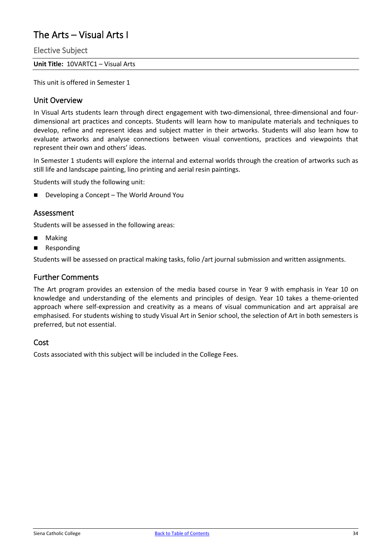## <span id="page-34-0"></span>The Arts – Visual Arts I

Elective Subject

**Unit Title:** 10VARTC1 – Visual Arts

This unit is offered in Semester 1

#### Unit Overview

In Visual Arts students learn through direct engagement with two-dimensional, three-dimensional and fourdimensional art practices and concepts. Students will learn how to manipulate materials and techniques to develop, refine and represent ideas and subject matter in their artworks. Students will also learn how to evaluate artworks and analyse connections between visual conventions, practices and viewpoints that represent their own and others' ideas.

In Semester 1 students will explore the internal and external worlds through the creation of artworks such as still life and landscape painting, lino printing and aerial resin paintings.

Students will study the following unit:

Developing a Concept – The World Around You

#### Assessment

Students will be assessed in the following areas:

- Making
- **Responding**

Students will be assessed on practical making tasks, folio /art journal submission and written assignments.

#### Further Comments

The Art program provides an extension of the media based course in Year 9 with emphasis in Year 10 on knowledge and understanding of the elements and principles of design. Year 10 takes a theme-oriented approach where self-expression and creativity as a means of visual communication and art appraisal are emphasised. For students wishing to study Visual Art in Senior school, the selection of Art in both semesters is preferred, but not essential.

#### Cost